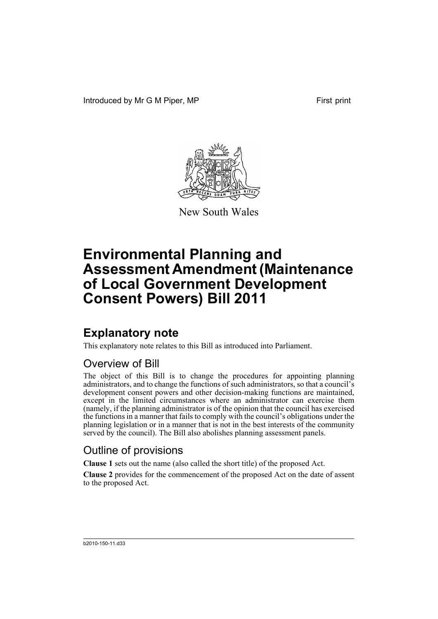Introduced by Mr G M Piper, MP First print



New South Wales

# **Environmental Planning and Assessment Amendment (Maintenance of Local Government Development Consent Powers) Bill 2011**

## **Explanatory note**

This explanatory note relates to this Bill as introduced into Parliament.

## Overview of Bill

The object of this Bill is to change the procedures for appointing planning administrators, and to change the functions of such administrators, so that a council's development consent powers and other decision-making functions are maintained, except in the limited circumstances where an administrator can exercise them (namely, if the planning administrator is of the opinion that the council has exercised the functions in a manner that fails to comply with the council's obligations under the planning legislation or in a manner that is not in the best interests of the community served by the council). The Bill also abolishes planning assessment panels.

## Outline of provisions

**Clause 1** sets out the name (also called the short title) of the proposed Act.

**Clause 2** provides for the commencement of the proposed Act on the date of assent to the proposed Act.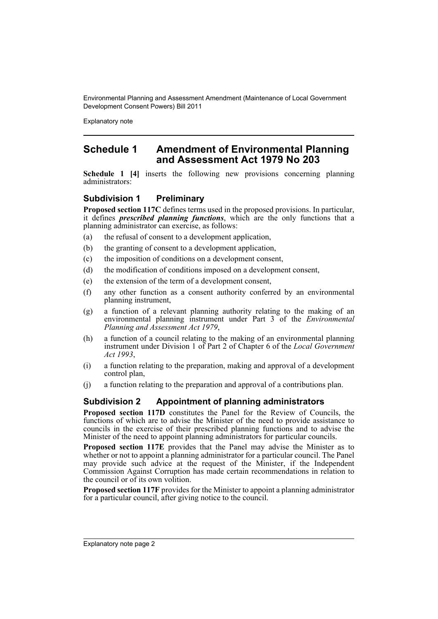Explanatory note

## **Schedule 1 Amendment of Environmental Planning and Assessment Act 1979 No 203**

**Schedule 1 [4]** inserts the following new provisions concerning planning administrators:

## **Subdivision 1 Preliminary**

**Proposed section 117C** defines terms used in the proposed provisions. In particular, it defines *prescribed planning functions*, which are the only functions that a planning administrator can exercise, as follows:

- (a) the refusal of consent to a development application,
- (b) the granting of consent to a development application,
- (c) the imposition of conditions on a development consent,
- (d) the modification of conditions imposed on a development consent,
- (e) the extension of the term of a development consent,
- (f) any other function as a consent authority conferred by an environmental planning instrument,
- (g) a function of a relevant planning authority relating to the making of an environmental planning instrument under Part 3 of the *Environmental Planning and Assessment Act 1979*,
- (h) a function of a council relating to the making of an environmental planning instrument under Division 1 of Part 2 of Chapter 6 of the *Local Government Act 1993*,
- (i) a function relating to the preparation, making and approval of a development control plan,
- (j) a function relating to the preparation and approval of a contributions plan.

### **Subdivision 2 Appointment of planning administrators**

**Proposed section 117D** constitutes the Panel for the Review of Councils, the functions of which are to advise the Minister of the need to provide assistance to councils in the exercise of their prescribed planning functions and to advise the Minister of the need to appoint planning administrators for particular councils.

**Proposed section 117E** provides that the Panel may advise the Minister as to whether or not to appoint a planning administrator for a particular council. The Panel may provide such advice at the request of the Minister, if the Independent Commission Against Corruption has made certain recommendations in relation to the council or of its own volition.

**Proposed section 117F** provides for the Minister to appoint a planning administrator for a particular council, after giving notice to the council.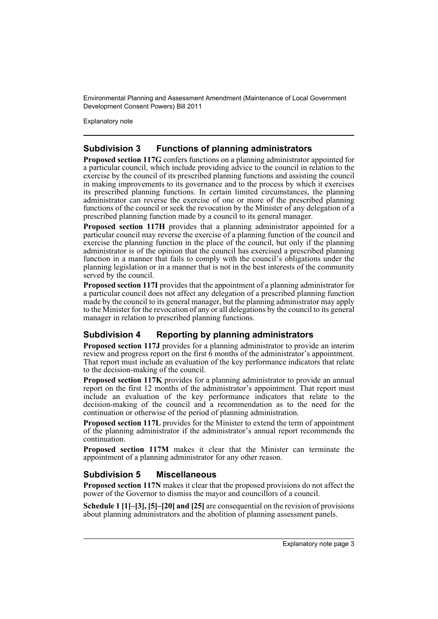Explanatory note

## **Subdivision 3 Functions of planning administrators**

**Proposed section 117G** confers functions on a planning administrator appointed for a particular council, which include providing advice to the council in relation to the exercise by the council of its prescribed planning functions and assisting the council in making improvements to its governance and to the process by which it exercises its prescribed planning functions. In certain limited circumstances, the planning administrator can reverse the exercise of one or more of the prescribed planning functions of the council or seek the revocation by the Minister of any delegation of a prescribed planning function made by a council to its general manager.

**Proposed section 117H** provides that a planning administrator appointed for a particular council may reverse the exercise of a planning function of the council and exercise the planning function in the place of the council, but only if the planning administrator is of the opinion that the council has exercised a prescribed planning function in a manner that fails to comply with the council's obligations under the planning legislation or in a manner that is not in the best interests of the community served by the council.

**Proposed section 117I** provides that the appointment of a planning administrator for a particular council does not affect any delegation of a prescribed planning function made by the council to its general manager, but the planning administrator may apply to the Minister for the revocation of any or all delegations by the council to its general manager in relation to prescribed planning functions.

## **Subdivision 4 Reporting by planning administrators**

**Proposed section 117J** provides for a planning administrator to provide an interim review and progress report on the first  $\dot{6}$  months of the administrator's appointment. That report must include an evaluation of the key performance indicators that relate to the decision-making of the council.

**Proposed section 117K** provides for a planning administrator to provide an annual report on the first 12 months of the administrator's appointment. That report must include an evaluation of the key performance indicators that relate to the decision-making of the council and a recommendation as to the need for the continuation or otherwise of the period of planning administration.

**Proposed section 117L** provides for the Minister to extend the term of appointment of the planning administrator if the administrator's annual report recommends the continuation.

**Proposed section 117M** makes it clear that the Minister can terminate the appointment of a planning administrator for any other reason.

### **Subdivision 5 Miscellaneous**

**Proposed section 117N** makes it clear that the proposed provisions do not affect the power of the Governor to dismiss the mayor and councillors of a council.

**Schedule 1 [1]–[3], [5]–[20] and [25]** are consequential on the revision of provisions about planning administrators and the abolition of planning assessment panels.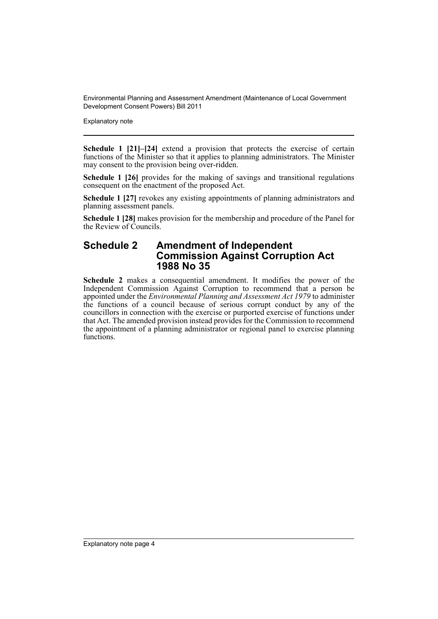Explanatory note

**Schedule 1 [21]–[24]** extend a provision that protects the exercise of certain functions of the Minister so that it applies to planning administrators. The Minister may consent to the provision being over-ridden.

**Schedule 1 [26]** provides for the making of savings and transitional regulations consequent on the enactment of the proposed Act.

**Schedule 1 [27]** revokes any existing appointments of planning administrators and planning assessment panels.

**Schedule 1 [28]** makes provision for the membership and procedure of the Panel for the Review of Councils.

## **Schedule 2 Amendment of Independent Commission Against Corruption Act 1988 No 35**

**Schedule 2** makes a consequential amendment. It modifies the power of the Independent Commission Against Corruption to recommend that a person be appointed under the *Environmental Planning and Assessment Act 1979* to administer the functions of a council because of serious corrupt conduct by any of the councillors in connection with the exercise or purported exercise of functions under that Act. The amended provision instead provides for the Commission to recommend the appointment of a planning administrator or regional panel to exercise planning functions.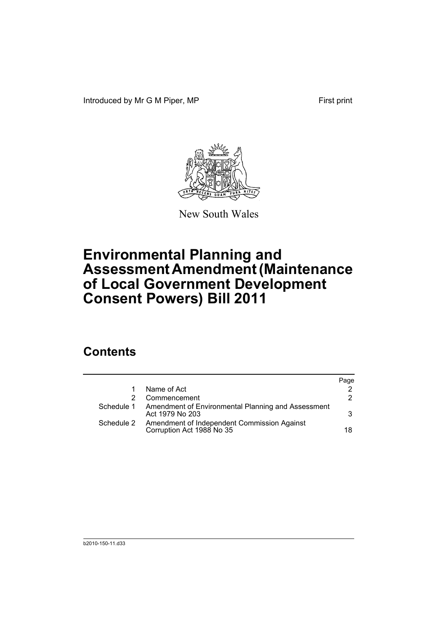Introduced by Mr G M Piper, MP First print



New South Wales

# **Environmental Planning and Assessment Amendment (Maintenance of Local Government Development Consent Powers) Bill 2011**

## **Contents**

|            |                                                                          | Page |
|------------|--------------------------------------------------------------------------|------|
|            | Name of Act                                                              | 2    |
|            | Commencement                                                             | 2    |
| Schedule 1 | Amendment of Environmental Planning and Assessment<br>Act 1979 No 203    | 3    |
| Schedule 2 | Amendment of Independent Commission Against<br>Corruption Act 1988 No 35 | 18.  |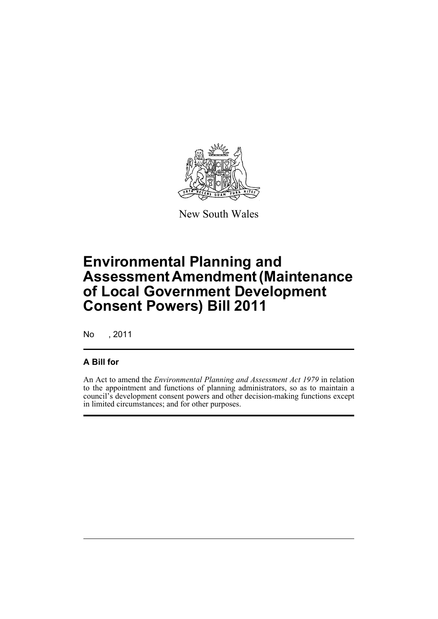

New South Wales

# **Environmental Planning and Assessment Amendment (Maintenance of Local Government Development Consent Powers) Bill 2011**

No , 2011

## **A Bill for**

An Act to amend the *Environmental Planning and Assessment Act 1979* in relation to the appointment and functions of planning administrators, so as to maintain a council's development consent powers and other decision-making functions except in limited circumstances; and for other purposes.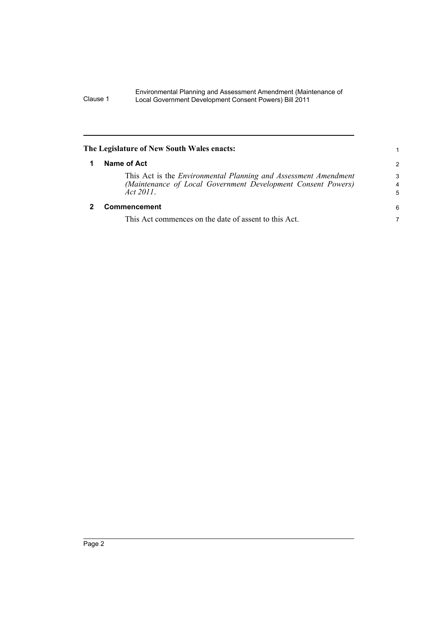<span id="page-7-1"></span><span id="page-7-0"></span>

| $\mathcal{P}$ |
|---------------|
| 3<br>4<br>5   |
| 6             |
| 7             |
|               |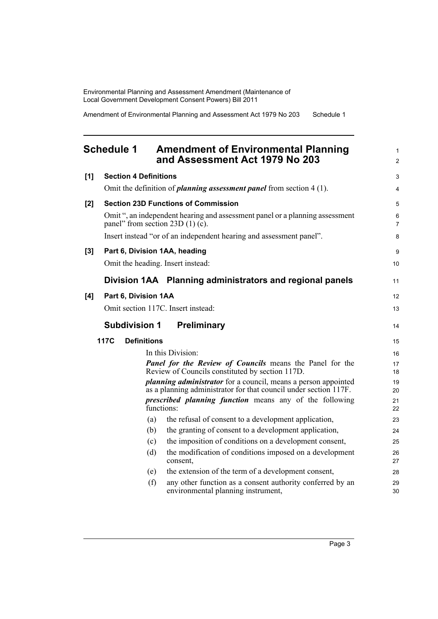Amendment of Environmental Planning and Assessment Act 1979 No 203 Schedule 1

## <span id="page-8-0"></span>**Schedule 1 Amendment of Environmental Planning and Assessment Act 1979 No 203**

| $[1]$    |      | <b>Section 4 Definitions</b> |                                                                                                                                           | $\mathfrak{S}$      |
|----------|------|------------------------------|-------------------------------------------------------------------------------------------------------------------------------------------|---------------------|
|          |      |                              | Omit the definition of <i>planning assessment panel</i> from section $4(1)$ .                                                             | 4                   |
| [2]      |      |                              | <b>Section 23D Functions of Commission</b>                                                                                                | 5                   |
|          |      |                              | Omit ", an independent hearing and assessment panel or a planning assessment<br>panel" from section $23D(1)(c)$ .                         | 6<br>$\overline{7}$ |
|          |      |                              | Insert instead "or of an independent hearing and assessment panel".                                                                       | 8                   |
| $^{[3]}$ |      |                              | Part 6, Division 1AA, heading                                                                                                             | 9                   |
|          |      |                              | Omit the heading. Insert instead:                                                                                                         | 10                  |
|          |      |                              | Division 1AA Planning administrators and regional panels                                                                                  | 11                  |
| [4]      |      | Part 6, Division 1AA         |                                                                                                                                           | 12                  |
|          |      |                              | Omit section 117C. Insert instead:                                                                                                        | 13                  |
|          |      | <b>Subdivision 1</b>         | <b>Preliminary</b>                                                                                                                        | 14                  |
|          | 117C | <b>Definitions</b>           |                                                                                                                                           | 15                  |
|          |      |                              | In this Division:                                                                                                                         | 16                  |
|          |      |                              | <b>Panel for the Review of Councils means the Panel for the</b><br>Review of Councils constituted by section 117D.                        | 17<br>18            |
|          |      |                              | <i>planning administrator</i> for a council, means a person appointed<br>as a planning administrator for that council under section 117F. | 19<br>20            |
|          |      |                              | <i>prescribed planning function</i> means any of the following<br>functions:                                                              | 21<br>22            |
|          |      |                              | the refusal of consent to a development application,<br>(a)                                                                               | 23                  |
|          |      |                              | the granting of consent to a development application,<br>(b)                                                                              | 24                  |
|          |      |                              | the imposition of conditions on a development consent,<br>(c)                                                                             | 25                  |
|          |      | (d)                          | the modification of conditions imposed on a development<br>consent,                                                                       | 26<br>27            |
|          |      |                              | the extension of the term of a development consent,<br>(e)                                                                                | 28                  |
|          |      |                              | (f)<br>any other function as a consent authority conferred by an<br>environmental planning instrument,                                    | 29<br>30            |
|          |      |                              |                                                                                                                                           |                     |

1 2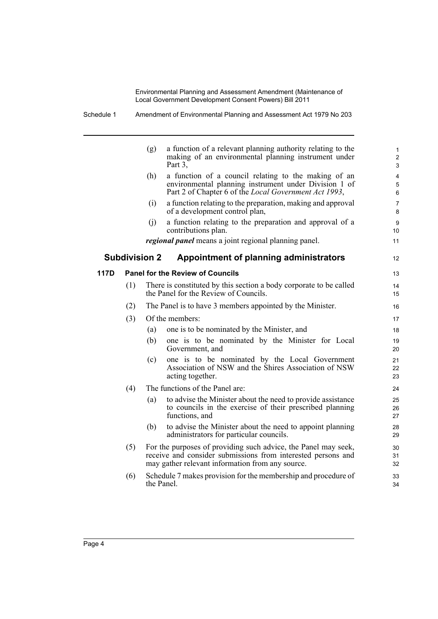|      |     | (g)                  | a function of a relevant planning authority relating to the<br>making of an environmental planning instrument under<br>Part 3,                                                     | $\mathbf{1}$<br>$\overline{c}$<br>$\mathfrak{S}$ |
|------|-----|----------------------|------------------------------------------------------------------------------------------------------------------------------------------------------------------------------------|--------------------------------------------------|
|      |     | (h)                  | a function of a council relating to the making of an<br>environmental planning instrument under Division 1 of<br>Part 2 of Chapter 6 of the Local Government Act 1993,             | 4<br>$\mathbf 5$<br>6                            |
|      |     | (i)                  | a function relating to the preparation, making and approval<br>of a development control plan,                                                                                      | 7<br>8                                           |
|      |     | (i)                  | a function relating to the preparation and approval of a<br>contributions plan.                                                                                                    | 9<br>10                                          |
|      |     |                      | <i>regional panel</i> means a joint regional planning panel.                                                                                                                       | 11                                               |
|      |     | <b>Subdivision 2</b> | Appointment of planning administrators                                                                                                                                             | 12                                               |
| 117D |     |                      | <b>Panel for the Review of Councils</b>                                                                                                                                            | 13                                               |
|      | (1) |                      | There is constituted by this section a body corporate to be called<br>the Panel for the Review of Councils.                                                                        | 14<br>15                                         |
|      | (2) |                      | The Panel is to have 3 members appointed by the Minister.                                                                                                                          | 16                                               |
|      | (3) |                      | Of the members:                                                                                                                                                                    | 17                                               |
|      |     | (a)                  | one is to be nominated by the Minister, and                                                                                                                                        | 18                                               |
|      |     | (b)                  | one is to be nominated by the Minister for Local<br>Government, and                                                                                                                | 19<br>20                                         |
|      |     | (c)                  | one is to be nominated by the Local Government<br>Association of NSW and the Shires Association of NSW<br>acting together.                                                         | 21<br>22<br>23                                   |
|      | (4) |                      | The functions of the Panel are:                                                                                                                                                    | 24                                               |
|      |     | (a)                  | to advise the Minister about the need to provide assistance<br>to councils in the exercise of their prescribed planning<br>functions, and                                          | 25<br>26<br>27                                   |
|      |     | (b)                  | to advise the Minister about the need to appoint planning<br>administrators for particular councils.                                                                               | 28<br>29                                         |
|      | (5) |                      | For the purposes of providing such advice, the Panel may seek,<br>receive and consider submissions from interested persons and<br>may gather relevant information from any source. | 30<br>31<br>32                                   |
|      | (6) | the Panel.           | Schedule 7 makes provision for the membership and procedure of                                                                                                                     | 33<br>34                                         |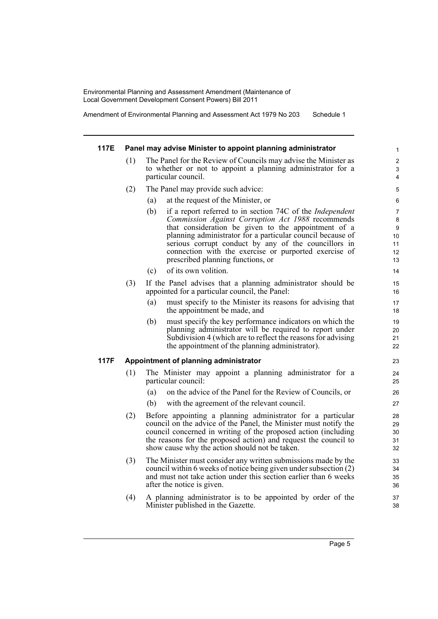Amendment of Environmental Planning and Assessment Act 1979 No 203 Schedule 1

#### **117E Panel may advise Minister to appoint planning administrator** (1) The Panel for the Review of Councils may advise the Minister as to whether or not to appoint a planning administrator for a particular council. (2) The Panel may provide such advice: (a) at the request of the Minister, or (b) if a report referred to in section 74C of the *Independent Commission Against Corruption Act 1988* recommends that consideration be given to the appointment of a planning administrator for a particular council because of serious corrupt conduct by any of the councillors in connection with the exercise or purported exercise of prescribed planning functions, or (c) of its own volition. (3) If the Panel advises that a planning administrator should be appointed for a particular council, the Panel: (a) must specify to the Minister its reasons for advising that the appointment be made, and (b) must specify the key performance indicators on which the planning administrator will be required to report under Subdivision 4 (which are to reflect the reasons for advising the appointment of the planning administrator). **117F Appointment of planning administrator** (1) The Minister may appoint a planning administrator for a particular council: (a) on the advice of the Panel for the Review of Councils, or (b) with the agreement of the relevant council. (2) Before appointing a planning administrator for a particular council on the advice of the Panel, the Minister must notify the council concerned in writing of the proposed action (including the reasons for the proposed action) and request the council to show cause why the action should not be taken. (3) The Minister must consider any written submissions made by the council within 6 weeks of notice being given under subsection (2) and must not take action under this section earlier than 6 weeks after the notice is given. (4) A planning administrator is to be appointed by order of the 1 2 3 4 5 6 7 8 **9** 10 11 12 13 14 15 16 17 18 19 20 21 22 23 24 25 26 27 28 29 30 31 32 33 34 35 36 37

Minister published in the Gazette.

38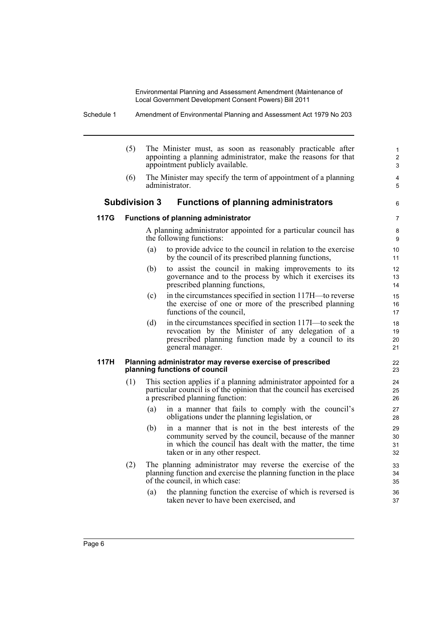> 6

(5) The Minister must, as soon as reasonably practicable after appointing a planning administrator, make the reasons for that appointment publicly available. (6) The Minister may specify the term of appointment of a planning administrator. **Subdivision 3 Functions of planning administrators 117G Functions of planning administrator** A planning administrator appointed for a particular council has the following functions: (a) to provide advice to the council in relation to the exercise by the council of its prescribed planning functions, (b) to assist the council in making improvements to its governance and to the process by which it exercises its prescribed planning functions, (c) in the circumstances specified in section 117H—to reverse the exercise of one or more of the prescribed planning functions of the council, (d) in the circumstances specified in section 117I—to seek the revocation by the Minister of any delegation of a prescribed planning function made by a council to its general manager. **117H Planning administrator may reverse exercise of prescribed planning functions of council** (1) This section applies if a planning administrator appointed for a particular council is of the opinion that the council has exercised a prescribed planning function: (a) in a manner that fails to comply with the council's obligations under the planning legislation, or (b) in a manner that is not in the best interests of the community served by the council, because of the manner in which the council has dealt with the matter, the time taken or in any other respect. (2) The planning administrator may reverse the exercise of the planning function and exercise the planning function in the place of the council, in which case: (a) the planning function the exercise of which is reversed is taken never to have been exercised, and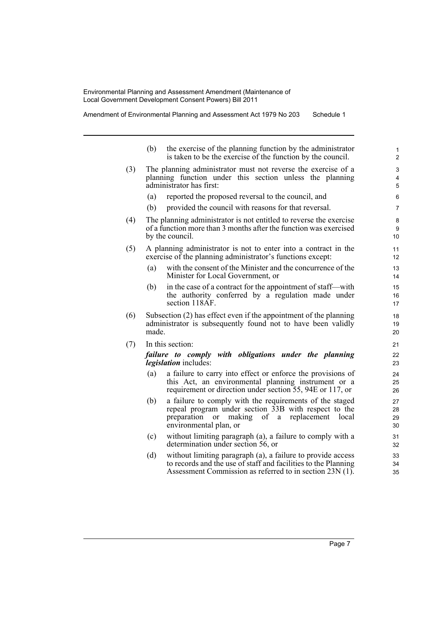Amendment of Environmental Planning and Assessment Act 1979 No 203 Schedule 1

|     | (b)   | the exercise of the planning function by the administrator<br>is taken to be the exercise of the function by the council.                                                                                | 1<br>$\overline{c}$  |
|-----|-------|----------------------------------------------------------------------------------------------------------------------------------------------------------------------------------------------------------|----------------------|
| (3) |       | The planning administrator must not reverse the exercise of a<br>planning function under this section unless the planning<br>administrator has first:                                                    | 3<br>4<br>5          |
|     | (a)   | reported the proposed reversal to the council, and                                                                                                                                                       | 6                    |
|     | (b)   | provided the council with reasons for that reversal.                                                                                                                                                     | 7                    |
| (4) |       | The planning administrator is not entitled to reverse the exercise<br>of a function more than 3 months after the function was exercised<br>by the council.                                               | 8<br>9<br>10         |
| (5) |       | A planning administrator is not to enter into a contract in the<br>exercise of the planning administrator's functions except:                                                                            | 11<br>12             |
|     | (a)   | with the consent of the Minister and the concurrence of the<br>Minister for Local Government, or                                                                                                         | 13<br>14             |
|     | (b)   | in the case of a contract for the appointment of staff—with<br>the authority conferred by a regulation made under<br>section 118AF.                                                                      | 15<br>16<br>17       |
| (6) | made. | Subsection (2) has effect even if the appointment of the planning<br>administrator is subsequently found not to have been validly                                                                        | 18<br>19<br>20       |
| (7) |       | In this section:                                                                                                                                                                                         | 21                   |
|     |       | failure to comply with obligations under the planning<br><i>legislation</i> includes:                                                                                                                    | 22<br>23             |
|     | (a)   | a failure to carry into effect or enforce the provisions of<br>this Act, an environmental planning instrument or a<br>requirement or direction under section 55, 94E or 117, or                          | 24<br>25<br>26       |
|     | (b)   | a failure to comply with the requirements of the staged<br>repeal program under section 33B with respect to the<br>preparation<br>making<br>of a<br>replacement<br>or<br>local<br>environmental plan, or | 27<br>28<br>29<br>30 |
|     | (c)   | without limiting paragraph (a), a failure to comply with a<br>determination under section 56, or                                                                                                         | 31<br>32             |
|     | (d)   | without limiting paragraph (a), a failure to provide access<br>to records and the use of staff and facilities to the Planning<br>Assessment Commission as referred to in section 23N (1).                | 33<br>34<br>35       |

Page 7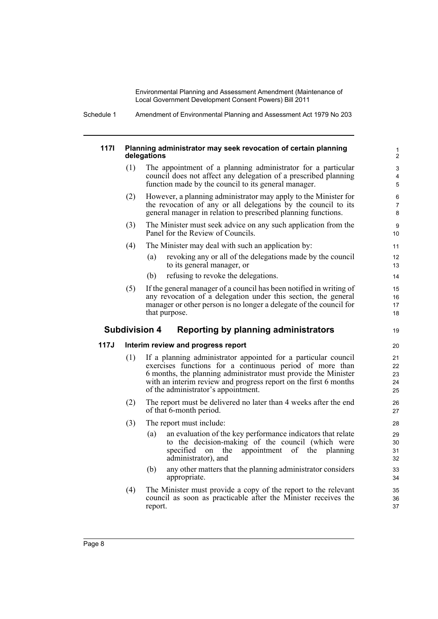Schedule 1 Amendment of Environmental Planning and Assessment Act 1979 No 203

#### **117I Planning administrator may seek revocation of certain planning delegations**

(1) The appointment of a planning administrator for a particular council does not affect any delegation of a prescribed planning function made by the council to its general manager.

19

- (2) However, a planning administrator may apply to the Minister for the revocation of any or all delegations by the council to its general manager in relation to prescribed planning functions.
- (3) The Minister must seek advice on any such application from the Panel for the Review of Councils.
- (4) The Minister may deal with such an application by:
	- (a) revoking any or all of the delegations made by the council to its general manager, or
	- (b) refusing to revoke the delegations.
- (5) If the general manager of a council has been notified in writing of any revocation of a delegation under this section, the general manager or other person is no longer a delegate of the council for that purpose.

### **Subdivision 4 Reporting by planning administrators**

### **117J Interim review and progress report**

- (1) If a planning administrator appointed for a particular council exercises functions for a continuous period of more than 6 months, the planning administrator must provide the Minister with an interim review and progress report on the first 6 months of the administrator's appointment.
- (2) The report must be delivered no later than 4 weeks after the end of that 6-month period.
- (3) The report must include:
	- (a) an evaluation of the key performance indicators that relate to the decision-making of the council (which were specified on the appointment of the planning administrator), and
	- (b) any other matters that the planning administrator considers appropriate.
- (4) The Minister must provide a copy of the report to the relevant council as soon as practicable after the Minister receives the report.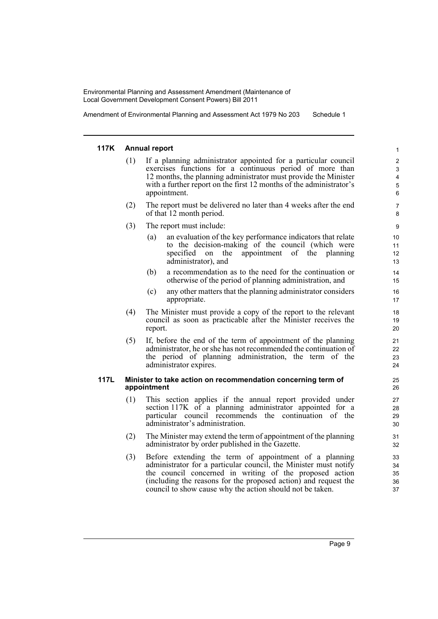Amendment of Environmental Planning and Assessment Act 1979 No 203 Schedule 1

#### **117K Annual report**

- (1) If a planning administrator appointed for a particular council exercises functions for a continuous period of more than 12 months, the planning administrator must provide the Minister with a further report on the first 12 months of the administrator's appointment.
- (2) The report must be delivered no later than 4 weeks after the end of that 12 month period.
- (3) The report must include:
	- (a) an evaluation of the key performance indicators that relate to the decision-making of the council (which were specified on the appointment of the planning administrator), and
	- (b) a recommendation as to the need for the continuation or otherwise of the period of planning administration, and
	- (c) any other matters that the planning administrator considers appropriate.
- (4) The Minister must provide a copy of the report to the relevant council as soon as practicable after the Minister receives the report.
- (5) If, before the end of the term of appointment of the planning administrator, he or she has not recommended the continuation of the period of planning administration, the term of the administrator expires.

#### **117L Minister to take action on recommendation concerning term of appointment**

- (1) This section applies if the annual report provided under section 117K of a planning administrator appointed for a particular council recommends the continuation of the administrator's administration.
- (2) The Minister may extend the term of appointment of the planning administrator by order published in the Gazette.
- (3) Before extending the term of appointment of a planning administrator for a particular council, the Minister must notify the council concerned in writing of the proposed action (including the reasons for the proposed action) and request the council to show cause why the action should not be taken.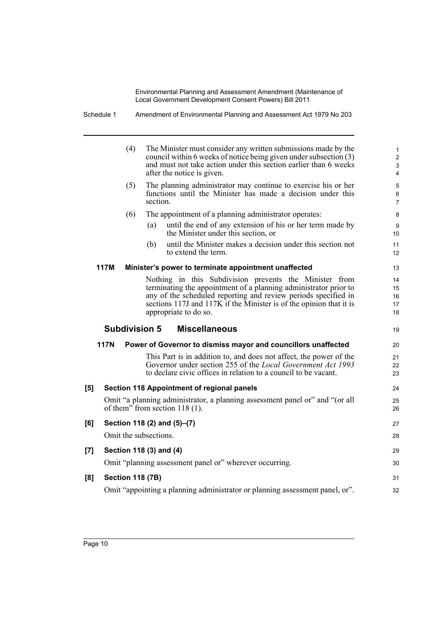Schedule 1 Amendment of Environmental Planning and Assessment Act 1979 No 203

|     |                         | (4)                   |          | The Minister must consider any written submissions made by the<br>council within 6 weeks of notice being given under subsection (3)<br>and must not take action under this section earlier than 6 weeks<br>after the notice is given.                                                        | $\mathbf{1}$<br>$\overline{2}$<br>3<br>4 |
|-----|-------------------------|-----------------------|----------|----------------------------------------------------------------------------------------------------------------------------------------------------------------------------------------------------------------------------------------------------------------------------------------------|------------------------------------------|
|     |                         | (5)                   | section. | The planning administrator may continue to exercise his or her<br>functions until the Minister has made a decision under this                                                                                                                                                                | 5<br>6<br>$\overline{7}$                 |
|     |                         | (6)                   |          | The appointment of a planning administrator operates:                                                                                                                                                                                                                                        | 8                                        |
|     |                         |                       | (a)      | until the end of any extension of his or her term made by<br>the Minister under this section, or                                                                                                                                                                                             | 9<br>10                                  |
|     |                         |                       | (b)      | until the Minister makes a decision under this section not<br>to extend the term.                                                                                                                                                                                                            | 11<br>12                                 |
|     | <b>117M</b>             |                       |          | Minister's power to terminate appointment unaffected                                                                                                                                                                                                                                         | 13                                       |
|     |                         |                       |          | Nothing in this Subdivision prevents the Minister from<br>terminating the appointment of a planning administrator prior to<br>any of the scheduled reporting and review periods specified in<br>sections 117J and 117K if the Minister is of the opinion that it is<br>appropriate to do so. | 14<br>15<br>16<br>17<br>18               |
|     | <b>Subdivision 5</b>    |                       |          | <b>Miscellaneous</b>                                                                                                                                                                                                                                                                         | 19                                       |
|     | 117N                    |                       |          | Power of Governor to dismiss mayor and councillors unaffected                                                                                                                                                                                                                                | 20                                       |
|     |                         |                       |          | This Part is in addition to, and does not affect, the power of the<br>Governor under section 255 of the <i>Local Government Act 1993</i><br>to declare civic offices in relation to a council to be vacant.                                                                                  | 21<br>22<br>23                           |
| [5] |                         |                       |          | Section 118 Appointment of regional panels                                                                                                                                                                                                                                                   | 24                                       |
|     |                         |                       |          | Omit "a planning administrator, a planning assessment panel or" and "(or all<br>of them" from section $118(1)$ .                                                                                                                                                                             | 25<br>26                                 |
| [6] |                         |                       |          | Section 118 (2) and (5)–(7)                                                                                                                                                                                                                                                                  | 27                                       |
|     |                         | Omit the subsections. |          |                                                                                                                                                                                                                                                                                              | 28                                       |
| [7] |                         |                       |          | Section 118 (3) and (4)                                                                                                                                                                                                                                                                      | 29                                       |
|     |                         |                       |          | Omit "planning assessment panel or" wherever occurring.                                                                                                                                                                                                                                      | 30                                       |
| [8] | <b>Section 118 (7B)</b> |                       |          |                                                                                                                                                                                                                                                                                              | 31                                       |
|     |                         |                       |          |                                                                                                                                                                                                                                                                                              |                                          |
|     |                         |                       |          | Omit "appointing a planning administrator or planning assessment panel, or".                                                                                                                                                                                                                 | 32                                       |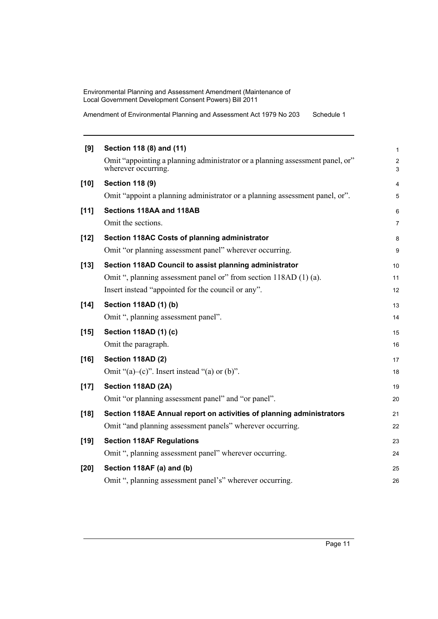Amendment of Environmental Planning and Assessment Act 1979 No 203 Schedule 1

| [9]    | Section 118 (8) and (11)                                                                             | 1                            |
|--------|------------------------------------------------------------------------------------------------------|------------------------------|
|        | Omit "appointing a planning administrator or a planning assessment panel, or"<br>wherever occurring. | $\overline{\mathbf{c}}$<br>3 |
| $[10]$ | <b>Section 118 (9)</b>                                                                               | 4                            |
|        | Omit "appoint a planning administrator or a planning assessment panel, or".                          | 5                            |
| $[11]$ | Sections 118AA and 118AB                                                                             | 6                            |
|        | Omit the sections.                                                                                   | 7                            |
| $[12]$ | Section 118AC Costs of planning administrator                                                        | 8                            |
|        | Omit "or planning assessment panel" wherever occurring.                                              | 9                            |
| $[13]$ | Section 118AD Council to assist planning administrator                                               | 10                           |
|        | Omit ", planning assessment panel or" from section 118AD (1) (a).                                    | 11                           |
|        | Insert instead "appointed for the council or any".                                                   | 12                           |
| $[14]$ | Section 118AD (1) (b)                                                                                | 13                           |
|        | Omit ", planning assessment panel".                                                                  | 14                           |
| $[15]$ | Section 118AD (1) (c)                                                                                | 15                           |
|        | Omit the paragraph.                                                                                  | 16                           |
| $[16]$ | Section 118AD (2)                                                                                    | 17                           |
|        | Omit " $(a)$ - $(c)$ ". Insert instead " $(a)$ or $(b)$ ".                                           | 18                           |
| $[17]$ | Section 118AD (2A)                                                                                   | 19                           |
|        | Omit "or planning assessment panel" and "or panel".                                                  | 20                           |
| $[18]$ | Section 118AE Annual report on activities of planning administrators                                 | 21                           |
|        | Omit "and planning assessment panels" wherever occurring.                                            | 22                           |
| $[19]$ | <b>Section 118AF Regulations</b>                                                                     | 23                           |
|        | Omit ", planning assessment panel" wherever occurring.                                               | 24                           |
| [20]   | Section 118AF (a) and (b)                                                                            | 25                           |
|        | Omit ", planning assessment panel's" wherever occurring.                                             | 26                           |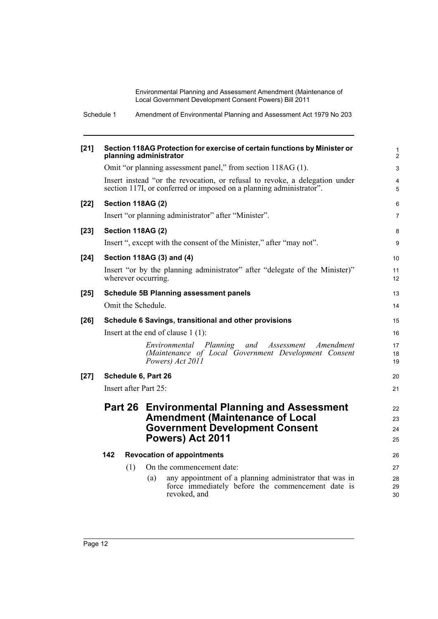Schedule 1 Amendment of Environmental Planning and Assessment Act 1979 No 203

| $[21]$ |                       | Section 118AG Protection for exercise of certain functions by Minister or<br>planning administrator                                                | $\mathbf{1}$<br>2   |
|--------|-----------------------|----------------------------------------------------------------------------------------------------------------------------------------------------|---------------------|
|        |                       | Omit "or planning assessment panel," from section 118AG (1).                                                                                       | 3                   |
|        |                       | Insert instead "or the revocation, or refusal to revoke, a delegation under<br>section 117I, or conferred or imposed on a planning administrator". | $\overline{4}$<br>5 |
| $[22]$ | Section 118AG (2)     |                                                                                                                                                    | 6                   |
|        |                       | Insert "or planning administrator" after "Minister".                                                                                               | $\overline{7}$      |
| $[23]$ | Section 118AG (2)     |                                                                                                                                                    | 8                   |
|        |                       | Insert ", except with the consent of the Minister," after "may not".                                                                               | 9                   |
| [24]   |                       | Section 118AG (3) and (4)                                                                                                                          | 10                  |
|        | wherever occurring.   | Insert "or by the planning administrator" after "delegate of the Minister)"                                                                        | 11<br>12            |
| $[25]$ |                       | <b>Schedule 5B Planning assessment panels</b>                                                                                                      | 13                  |
|        | Omit the Schedule.    |                                                                                                                                                    | 14                  |
| $[26]$ |                       | Schedule 6 Savings, transitional and other provisions                                                                                              | 15                  |
|        |                       | Insert at the end of clause $1(1)$ :                                                                                                               | 16                  |
|        |                       | Environmental Planning and<br>Assessment<br>Amendment<br>(Maintenance of Local Government Development Consent<br>Powers) Act 2011                  | 17<br>18<br>19      |
| $[27]$ | Schedule 6, Part 26   |                                                                                                                                                    | 20                  |
|        | Insert after Part 25: |                                                                                                                                                    | 21                  |
|        |                       | Part 26 Environmental Planning and Assessment                                                                                                      | 22                  |
|        |                       | <b>Amendment (Maintenance of Local</b>                                                                                                             | 23                  |
|        |                       | <b>Government Development Consent</b>                                                                                                              | 24                  |
|        |                       | Powers) Act 2011                                                                                                                                   | 25                  |
|        | 142                   | <b>Revocation of appointments</b>                                                                                                                  | 26                  |
|        | (1)                   | On the commencement date:                                                                                                                          | 27                  |
|        |                       | any appointment of a planning administrator that was in<br>(a)                                                                                     | 28                  |
|        |                       | force immediately before the commencement date is<br>revoked, and                                                                                  | 29<br>30            |
|        |                       |                                                                                                                                                    |                     |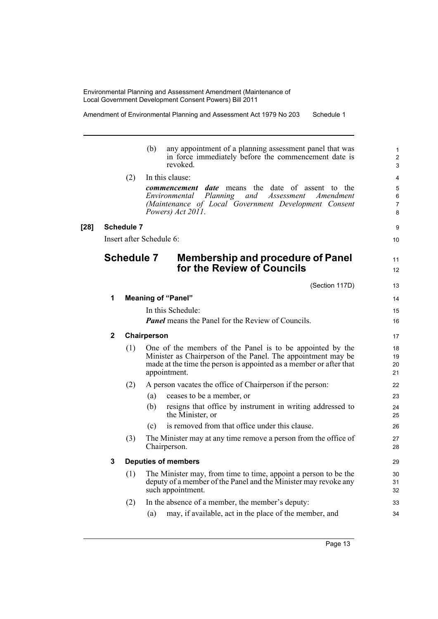Amendment of Environmental Planning and Assessment Act 1979 No 203 Schedule 1

|              |                   | any appointment of a planning assessment panel that was<br>(b)<br>in force immediately before the commencement date is<br>revoked.                                                                              | $\mathbf{1}$<br>$\overline{c}$<br>3 |
|--------------|-------------------|-----------------------------------------------------------------------------------------------------------------------------------------------------------------------------------------------------------------|-------------------------------------|
|              | (2)               | In this clause:                                                                                                                                                                                                 | 4                                   |
|              |                   | <b>commencement</b> date means the date of assent to the<br>Planning<br>and<br>Assessment<br>Environmental<br>Amendment<br>(Maintenance of Local Government Development Consent<br>Powers) Act 2011.            | 5<br>6<br>$\overline{7}$<br>8       |
|              | <b>Schedule 7</b> |                                                                                                                                                                                                                 | 9                                   |
|              |                   | Insert after Schedule 6:                                                                                                                                                                                        | 10                                  |
|              | <b>Schedule 7</b> | <b>Membership and procedure of Panel</b><br>for the Review of Councils                                                                                                                                          | 11<br>12                            |
|              |                   | (Section 117D)                                                                                                                                                                                                  | 13                                  |
| 1            |                   | <b>Meaning of "Panel"</b>                                                                                                                                                                                       | 14                                  |
|              |                   | In this Schedule:                                                                                                                                                                                               | 15                                  |
|              |                   | <b>Panel</b> means the Panel for the Review of Councils.                                                                                                                                                        | 16                                  |
| $\mathbf{2}$ |                   | Chairperson                                                                                                                                                                                                     | 17                                  |
|              | (1)               | One of the members of the Panel is to be appointed by the<br>Minister as Chairperson of the Panel. The appointment may be<br>made at the time the person is appointed as a member or after that<br>appointment. | 18<br>19<br>20<br>21                |
|              | (2)               | A person vacates the office of Chairperson if the person:                                                                                                                                                       | 22                                  |
|              |                   | ceases to be a member, or<br>(a)                                                                                                                                                                                | 23                                  |
|              |                   | (b)<br>resigns that office by instrument in writing addressed to<br>the Minister, or                                                                                                                            | 24<br>25                            |
|              |                   | is removed from that office under this clause.<br>(c)                                                                                                                                                           | 26                                  |
|              | (3)               | The Minister may at any time remove a person from the office of<br>Chairperson.                                                                                                                                 | 27<br>28                            |
|              |                   | <b>Deputies of members</b>                                                                                                                                                                                      | 29                                  |
|              | (1)               | The Minister may, from time to time, appoint a person to be the<br>deputy of a member of the Panel and the Minister may revoke any<br>such appointment.                                                         | 30<br>31<br>32                      |
|              |                   |                                                                                                                                                                                                                 |                                     |
|              | (2)               | In the absence of a member, the member's deputy:                                                                                                                                                                | 33                                  |

Page 13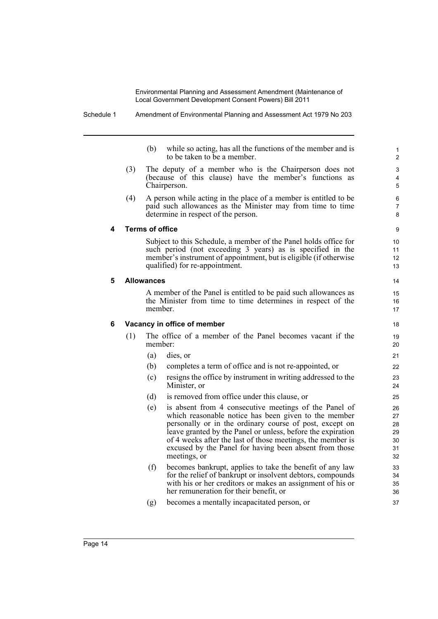Schedule 1 Amendment of Environmental Planning and Assessment Act 1979 No 203

(b) while so acting, has all the functions of the member and is to be taken to be a member.

- (3) The deputy of a member who is the Chairperson does not (because of this clause) have the member's functions as Chairperson.
- (4) A person while acting in the place of a member is entitled to be paid such allowances as the Minister may from time to time determine in respect of the person.

#### **4 Terms of office**

Subject to this Schedule, a member of the Panel holds office for such period (not exceeding 3 years) as is specified in the member's instrument of appointment, but is eligible (if otherwise qualified) for re-appointment.

#### **5 Allowances**

A member of the Panel is entitled to be paid such allowances as the Minister from time to time determines in respect of the member.

#### **6 Vacancy in office of member**

- (1) The office of a member of the Panel becomes vacant if the member:
	- (a) dies, or
	- (b) completes a term of office and is not re-appointed, or
	- (c) resigns the office by instrument in writing addressed to the Minister, or
	- (d) is removed from office under this clause, or
	- (e) is absent from 4 consecutive meetings of the Panel of which reasonable notice has been given to the member personally or in the ordinary course of post, except on leave granted by the Panel or unless, before the expiration of 4 weeks after the last of those meetings, the member is excused by the Panel for having been absent from those meetings, or
	- (f) becomes bankrupt, applies to take the benefit of any law for the relief of bankrupt or insolvent debtors, compounds with his or her creditors or makes an assignment of his or her remuneration for their benefit, or
	- (g) becomes a mentally incapacitated person, or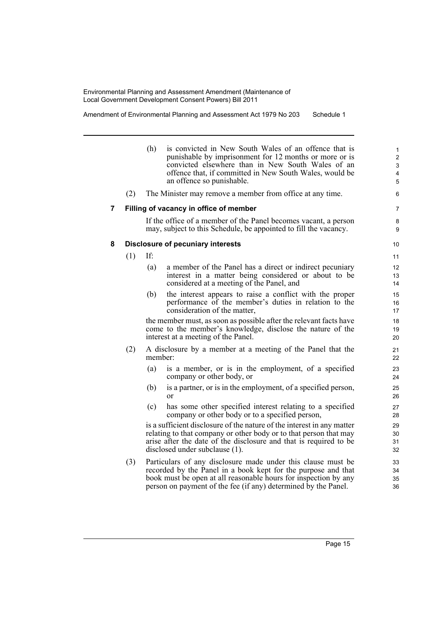Amendment of Environmental Planning and Assessment Act 1979 No 203 Schedule 1

|   |     | (h)     | is convicted in New South Wales of an offence that is<br>punishable by imprisonment for 12 months or more or is<br>convicted elsewhere than in New South Wales of an<br>offence that, if committed in New South Wales, would be<br>an offence so punishable.       | $\mathbf{1}$<br>$\overline{c}$<br>3<br>4<br>5 |
|---|-----|---------|--------------------------------------------------------------------------------------------------------------------------------------------------------------------------------------------------------------------------------------------------------------------|-----------------------------------------------|
|   | (2) |         | The Minister may remove a member from office at any time.                                                                                                                                                                                                          | 6                                             |
| 7 |     |         | Filling of vacancy in office of member                                                                                                                                                                                                                             | $\overline{7}$                                |
|   |     |         | If the office of a member of the Panel becomes vacant, a person<br>may, subject to this Schedule, be appointed to fill the vacancy.                                                                                                                                | 8<br>9                                        |
| 8 |     |         | <b>Disclosure of pecuniary interests</b>                                                                                                                                                                                                                           | 10                                            |
|   | (1) | If:     |                                                                                                                                                                                                                                                                    | 11                                            |
|   |     | (a)     | a member of the Panel has a direct or indirect pecuniary<br>interest in a matter being considered or about to be<br>considered at a meeting of the Panel, and                                                                                                      | 12<br>13<br>14                                |
|   |     | (b)     | the interest appears to raise a conflict with the proper<br>performance of the member's duties in relation to the<br>consideration of the matter,                                                                                                                  | 15<br>16<br>17                                |
|   |     |         | the member must, as soon as possible after the relevant facts have<br>come to the member's knowledge, disclose the nature of the<br>interest at a meeting of the Panel.                                                                                            | 18<br>19<br>20                                |
|   | (2) | member: | A disclosure by a member at a meeting of the Panel that the                                                                                                                                                                                                        | 21<br>22                                      |
|   |     | (a)     | is a member, or is in the employment, of a specified<br>company or other body, or                                                                                                                                                                                  | 23<br>24                                      |
|   |     | (b)     | is a partner, or is in the employment, of a specified person,<br>or                                                                                                                                                                                                | 25<br>26                                      |
|   |     | (c)     | has some other specified interest relating to a specified<br>company or other body or to a specified person,                                                                                                                                                       | 27<br>28                                      |
|   |     |         | is a sufficient disclosure of the nature of the interest in any matter<br>relating to that company or other body or to that person that may<br>arise after the date of the disclosure and that is required to be<br>disclosed under subclause (1).                 | 29<br>30<br>31<br>32                          |
|   | (3) |         | Particulars of any disclosure made under this clause must be<br>recorded by the Panel in a book kept for the purpose and that<br>book must be open at all reasonable hours for inspection by any<br>person on payment of the fee (if any) determined by the Panel. | 33<br>34<br>35<br>36                          |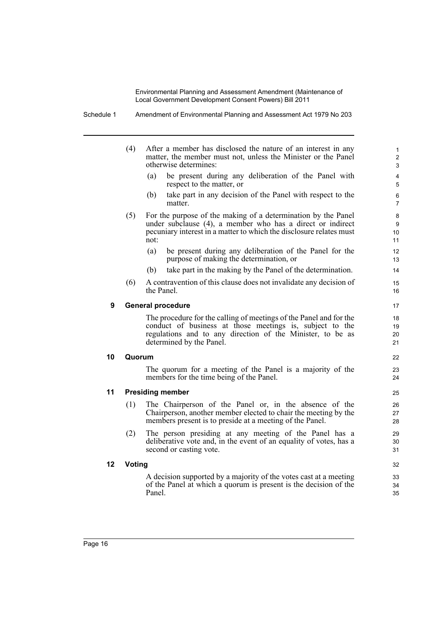Schedule 1 Amendment of Environmental Planning and Assessment Act 1979 No 203

|    | (4)    | After a member has disclosed the nature of an interest in any<br>matter, the member must not, unless the Minister or the Panel<br>otherwise determines:                                                                  | $\mathbf{1}$<br>$\overline{2}$<br>3 |
|----|--------|--------------------------------------------------------------------------------------------------------------------------------------------------------------------------------------------------------------------------|-------------------------------------|
|    |        | be present during any deliberation of the Panel with<br>(a)<br>respect to the matter, or                                                                                                                                 | 4<br>5                              |
|    |        | take part in any decision of the Panel with respect to the<br>(b)<br>matter.                                                                                                                                             | 6<br>$\overline{7}$                 |
|    | (5)    | For the purpose of the making of a determination by the Panel<br>under subclause (4), a member who has a direct or indirect<br>pecuniary interest in a matter to which the disclosure relates must<br>not:               | 8<br>9<br>10<br>11                  |
|    |        | (a)<br>be present during any deliberation of the Panel for the<br>purpose of making the determination, or                                                                                                                | 12<br>13                            |
|    |        | take part in the making by the Panel of the determination.<br>(b)                                                                                                                                                        | 14                                  |
|    | (6)    | A contravention of this clause does not invalidate any decision of<br>the Panel                                                                                                                                          | 15<br>16                            |
| 9  |        | <b>General procedure</b>                                                                                                                                                                                                 | 17                                  |
|    |        | The procedure for the calling of meetings of the Panel and for the<br>conduct of business at those meetings is, subject to the<br>regulations and to any direction of the Minister, to be as<br>determined by the Panel. | 18<br>19<br>20<br>21                |
| 10 | Quorum |                                                                                                                                                                                                                          | 22                                  |
|    |        | The quorum for a meeting of the Panel is a majority of the<br>members for the time being of the Panel.                                                                                                                   | 23<br>24                            |
| 11 |        | <b>Presiding member</b>                                                                                                                                                                                                  | 25                                  |
|    | (1)    | The Chairperson of the Panel or, in the absence of the<br>Chairperson, another member elected to chair the meeting by the<br>members present is to preside at a meeting of the Panel.                                    | 26<br>27<br>28                      |
|    | (2)    | The person presiding at any meeting of the Panel has a<br>deliberative vote and, in the event of an equality of votes, has a<br>second or casting vote.                                                                  | 29<br>30<br>31                      |
| 12 | Voting |                                                                                                                                                                                                                          | 32                                  |
|    |        | A decision supported by a majority of the votes cast at a meeting<br>of the Panel at which a quorum is present is the decision of the<br>Panel.                                                                          | 33<br>34<br>35                      |
|    |        |                                                                                                                                                                                                                          |                                     |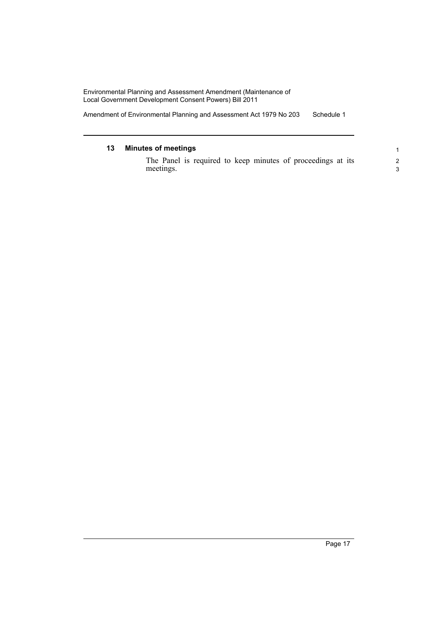Amendment of Environmental Planning and Assessment Act 1979 No 203 Schedule 1

#### **13 Minutes of meetings** The Panel is required to keep minutes of proceedings at its meetings. 1 2 3